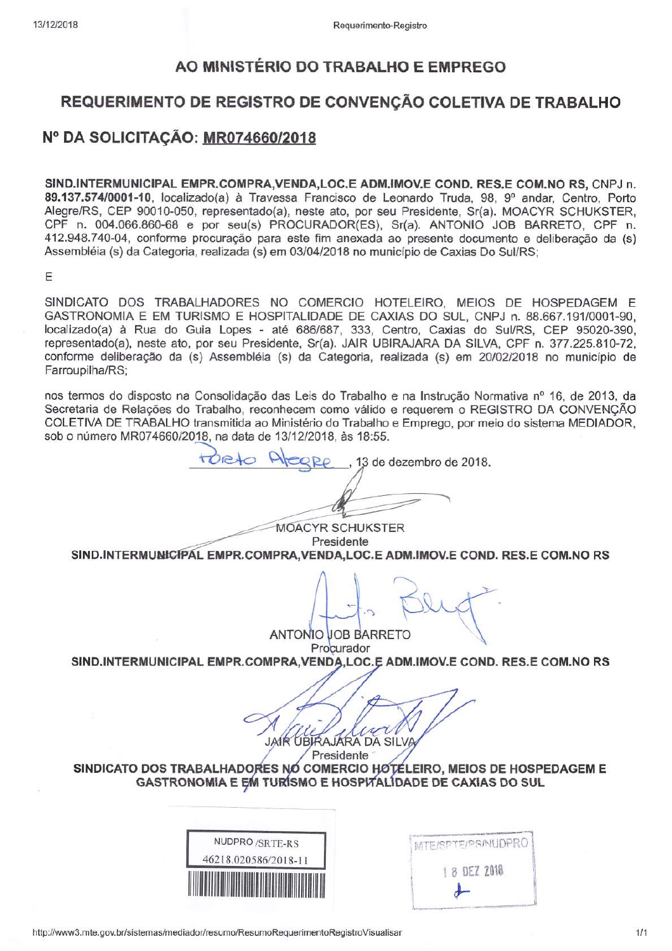## AO MINISTÉRIO DO TRABALHO E EMPREGO

## REQUERIMENTO DE REGISTRO DE CONVENÇÃO COLETIVA DE TRABALHO

## Nº DA SOLICITAÇÃO: MR074660/2018

SIND, INTERMUNICIPAL EMPR.COMPRA.VENDA.LOC.E ADM.IMOV.E COND. RES.E COM.NO RS. CNPJ n. 89.137.574/0001-10, localizado(a) à Travessa Francisco de Leonardo Truda, 98, 9º andar, Centro, Porto Alegre/RS, CEP 90010-050, representado(a), neste ato, por seu Presidente, Sr(a). MOACYR SCHUKSTER, CPF n. 004.066.860-68 e por seu(s) PROCURADOR(ES), Sr(a), ANTONIO JOB BARRETO, CPF n. 412.948.740-04, conforme procuração para este fim anexada ao presente documento e deliberação da (s) Assembléia (s) da Categoria, realizada (s) em 03/04/2018 no município de Caxias Do Sul/RS;

E

SINDICATO DOS TRABALHADORES NO COMERCIO HOTELEIRO, MEIOS DE HOSPEDAGEM E GASTRONOMIA E EM TURISMO E HOSPITALIDADE DE CAXIAS DO SUL, CNPJ n. 88.667.191/0001-90, localizado(a) à Rua do Guia Lopes - até 686/687, 333, Centro, Caxias do Sul/RS, CEP 95020-390, representado(a), neste ato, por seu Presidente, Sr(a). JAIR UBIRAJARA DA SILVA, CPF n. 377.225.810-72, conforme deliberação da (s) Assembléia (s) da Categoria, realizada (s) em 20/02/2018 no município de Farroupilha/RS;

nos termos do disposto na Consolidação das Leis do Trabalho e na Instrução Normativa nº 16, de 2013, da Secretaria de Relações do Trabalho, reconhecem como válido e requerem o REGISTRO DA CONVENCÃO COLETIVA DE TRABALHO transmitida ao Ministério do Trabalho e Emprego, por meio do sistema MEDIADOR, sob o número MR074660/2018, na data de 13/12/2018, às 18:55.

13 de dezembro de 2018.

**MOACYR SCHUKSTER** Presidente SIND.INTERMUNICIPAL EMPR.COMPRA, VENDA, LOC.E ADM.IMOV.E COND. RES.E COM.NO RS

**ANTONIO JOB BARRETO** Procurador

SIND.INTERMUNICIPAL EMPR.COMPRA, VENDA, LOC.E ADM.IMOV.E COND. RES.E COM.NO RS

JAIR UBIRAJARA DA SILVA

Presidente SINDICATO DOS TRABALHADORES NO COMERCIO HOTÉLEIRO, MEIOS DE HOSPEDAGEM E GASTRONOMIA E EM TURÍSMO E HOSPITALIDADE DE CAXIAS DO SUL

| NUDPRO/SRTE-RS       |  |
|----------------------|--|
| 46218.020586/2018-11 |  |
|                      |  |
|                      |  |

| MTE/SPTE/PS/NUDPRO |
|--------------------|
| 1 8 DEZ 2018       |
|                    |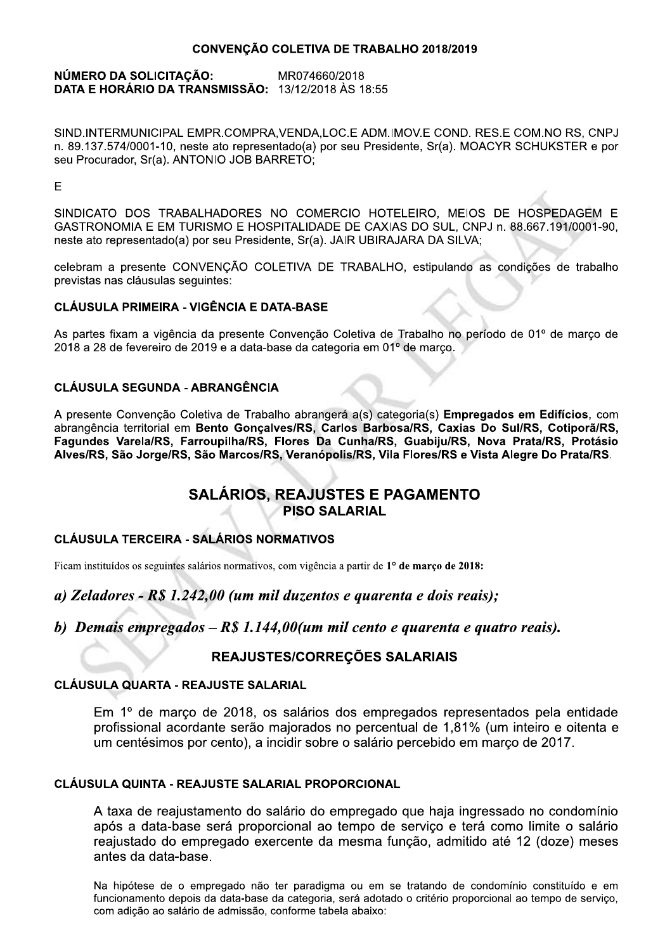### CONVENÇÃO COLETIVA DE TRABALHO 2018/2019

#### NÚMERO DA SOLICITAÇÃO: MR074660/2018 DATA E HORÁRIO DA TRANSMISSÃO: 13/12/2018 ÀS 18:55

SIND.INTERMUNICIPAL EMPR.COMPRA.VENDA.LOC.E ADM.IMOV.E COND. RES.E COM.NO RS. CNPJ n. 89.137.574/0001-10, neste ato representado(a) por seu Presidente, Sr(a). MOACYR SCHUKSTER e por seu Procurador, Sr(a). ANTONIO JOB BARRETO;

E

SINDICATO DOS TRABALHADORES NO COMERCIO HOTELEIRO, MEIOS DE HOSPEDAGEM E GASTRONOMIA E EM TURISMO E HOSPITALIDADE DE CAXIAS DO SUL, CNPJ n. 88.667.191/0001-90, neste ato representado(a) por seu Presidente, Sr(a). JAIR UBIRAJARA DA SILVA;

celebram a presente CONVENÇÃO COLETIVA DE TRABALHO, estipulando as condições de trabalho previstas nas cláusulas seguintes:

## **CLÁUSULA PRIMEIRA - VIGÊNCIA E DATA-BASE**

As partes fixam a vigência da presente Convenção Coletiva de Trabalho no período de 01º de marco de 2018 a 28 de fevereiro de 2019 e a data-base da categoria em 01º de março.

## **CLÁUSULA SEGUNDA - ABRANGÊNCIA**

A presente Convenção Coletiva de Trabalho abrangerá a(s) categoria(s) Empregados em Edifícios, com abrangência territorial em Bento Gonçalves/RS, Carlos Barbosa/RS, Caxias Do Sul/RS, Cotiporã/RS, Fagundes Varela/RS, Farroupilha/RS, Flores Da Cunha/RS, Guabiju/RS, Nova Prata/RS, Protásio Alves/RS, São Jorge/RS, São Marcos/RS, Veranópolis/RS, Vila Flores/RS e Vista Alegre Do Prata/RS.

## **SALÁRIOS. REAJUSTES E PAGAMENTO PISO SALARIAL**

## **CLÁUSULA TERCEIRA - SALÁRIOS NORMATIVOS**

Ficam instituídos os seguintes salários normativos, com vigência a partir de 1º de março de 2018:

## a) Zeladores - R\$ 1.242,00 (um mil duzentos e quarenta e dois reais);

b) Demais empregados  $-R\$  1.144,00(um mil cento e quarenta e quatro reais).

## REAJUSTES/CORREÇÕES SALARIAIS

#### **CLÁUSULA QUARTA - REAJUSTE SALARIAL**

Em 1º de março de 2018, os salários dos empregados representados pela entidade profissional acordante serão majorados no percentual de 1.81% (um inteiro e oitenta e um centésimos por cento), a incidir sobre o salário percebido em marco de 2017.

## CLÁUSULA QUINTA - REAJUSTE SALARIAL PROPORCIONAL

A taxa de reajustamento do salário do empregado que haja ingressado no condomínio após a data-base será proporcional ao tempo de servico e terá como limite o salário reajustado do empregado exercente da mesma função, admitido até 12 (doze) meses antes da data-base.

Na hipótese de o empregado não ter paradigma ou em se tratando de condomínio constituído e em funcionamento depois da data-base da categoria, será adotado o critério proporcional ao tempo de servico, com adição ao salário de admissão, conforme tabela abaixo: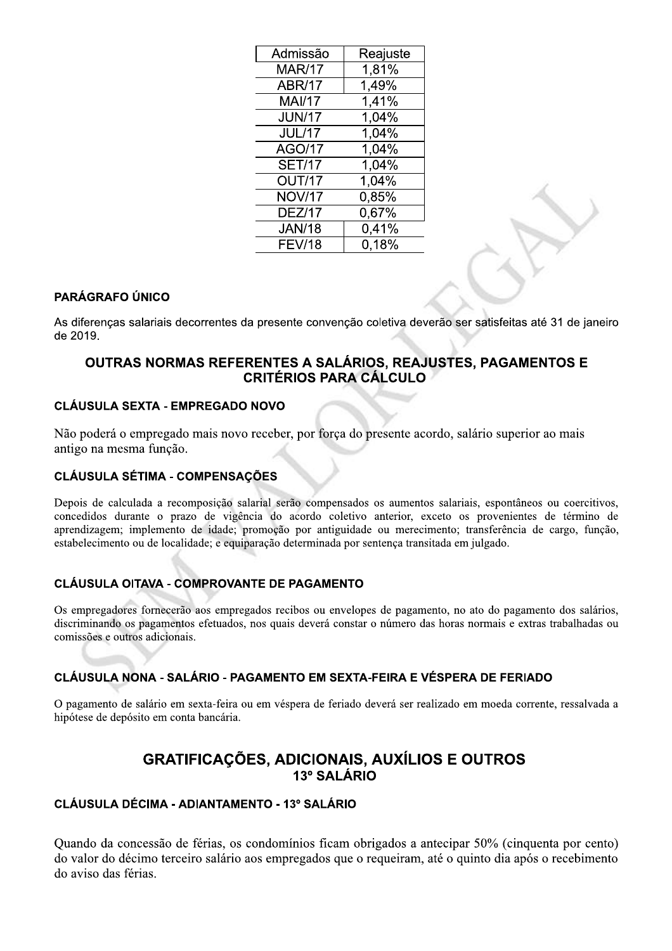| Admissão      | Reajuste |
|---------------|----------|
| <b>MAR/17</b> | 1,81%    |
| <b>ABR/17</b> | 1.49%    |
| <b>MAI/17</b> | 1,41%    |
| <b>JUN/17</b> | 1,04%    |
| <b>JUL/17</b> | 1,04%    |
| <b>AGO/17</b> | 1,04%    |
| <b>SET/17</b> | 1,04%    |
| OUT/17        | 1.04%    |
| <b>NOV/17</b> | 0,85%    |
| <b>DEZ/17</b> | 0,67%    |
| <b>JAN/18</b> | 0,41%    |
| <b>FEV/18</b> | 0,18%    |

## **PARÁGRAFO ÚNICO**

As diferenças salariais decorrentes da presente convenção coletiva deverão ser satisfeitas até 31 de janeiro de 2019.

## OUTRAS NORMAS REFERENTES A SALÁRIOS, REAJUSTES, PAGAMENTOS E **CRITÉRIOS PARA CÁLCULO**

## **CLÁUSULA SEXTA - EMPREGADO NOVO**

Não poderá o empregado mais novo receber, por força do presente acordo, salário superior ao mais antigo na mesma função.

### **CLÁUSULA SÉTIMA - COMPENSAÇÕES**

Depois de calculada a recomposição salarial serão compensados os aumentos salariais, espontâneos ou coercitivos, concedidos durante o prazo de vigência do acordo coletivo anterior, exceto os provenientes de término de aprendizagem; implemento de idade; promoção por antiguidade ou merecimento; transferência de cargo, função, estabelecimento ou de localidade; e equiparação determinada por sentença transitada em julgado.

## **CLÁUSULA OITAVA - COMPROVANTE DE PAGAMENTO**

Os empregadores fornecerão aos empregados recibos ou envelopes de pagamento, no ato do pagamento dos salários, discriminando os pagamentos efetuados, nos quais deverá constar o número das horas normais e extras trabalhadas ou comissões e outros adicionais.

### CLÁUSULA NONA - SALÁRIO - PAGAMENTO EM SEXTA-FEIRA E VÉSPERA DE FERIADO

O pagamento de salário em sexta-feira ou em véspera de feriado deverá ser realizado em moeda corrente, ressalvada a hipótese de depósito em conta bancária.

## **GRATIFICAÇÕES, ADICIONAIS, AUXÍLIOS E OUTROS** 13º SALÁRIO

#### **CLÁUSULA DÉCIMA - ADIANTAMENTO - 13º SALÁRIO**

Quando da concessão de férias, os condomínios ficam obrigados a antecipar 50% (cinquenta por cento) do valor do décimo terceiro salário aos empregados que o requeiram, até o quinto dia após o recebimento do aviso das férias.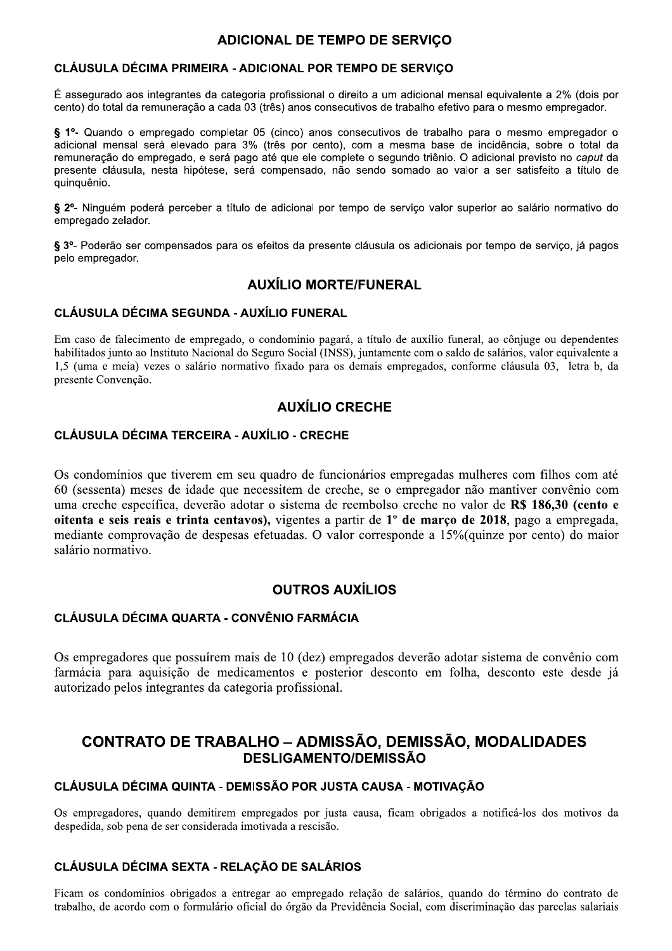## **ADICIONAL DE TEMPO DE SERVIÇO**

## CLÁUSULA DÉCIMA PRIMEIRA - ADICIONAL POR TEMPO DE SERVIÇO

É assegurado aos integrantes da categoria profissional o direito a um adicional mensal equivalente a 2% (dois por cento) do total da remuneração a cada 03 (três) anos consecutivos de trabalho efetivo para o mesmo empregador.

§ 1º- Quando o empregado completar 05 (cinco) anos consecutivos de trabalho para o mesmo empregador o adicional mensal será elevado para 3% (três por cento), com a mesma base de incidência, sobre o total da remuneração do empregado, e será pago até que ele complete o segundo triênio. O adicional previsto no caput da presente cláusula, nesta hipótese, será compensado, não sendo somado ao valor a ser satisfeito a título de quinquênio.

§ 2º- Ninguém poderá perceber a título de adicional por tempo de serviço valor superior ao salário normativo do empregado zelador.

§ 3º- Poderão ser compensados para os efeitos da presente cláusula os adicionais por tempo de servico, já pagos pelo empregador.

## **AUXÍLIO MORTE/FUNERAL**

### **CLÁUSULA DÉCIMA SEGUNDA - AUXÍLIO FUNERAL**

Em caso de falecimento de empregado, o condomínio pagará, a título de auxílio funeral, ao cônjuge ou dependentes habilitados junto ao Instituto Nacional do Seguro Social (INSS), juntamente com o saldo de salários, valor equivalente a 1,5 (uma e meia) vezes o salário normativo fixado para os demais empregados, conforme cláusula 03, letra b, da presente Convenção.

## **AUXÍLIO CRECHE**

### **CLÁUSULA DÉCIMA TERCEIRA - AUXÍLIO - CRECHE**

Os condomínios que tiverem em seu quadro de funcionários empregadas mulheres com filhos com até 60 (sessenta) meses de idade que necessitem de creche, se o empregador não mantiver convênio com uma creche específica, deverão adotar o sistema de reembolso creche no valor de R\$ 186,30 (cento e oitenta e seis reais e trinta centavos), vigentes a partir de 1º de março de 2018, pago a empregada, mediante comprovação de despesas efetuadas. O valor corresponde a 15% (quinze por cento) do maior salário normativo.

## **OUTROS AUXÍLIOS**

#### **CLÁUSULA DÉCIMA QUARTA - CONVÊNIO FARMÁCIA**

Os empregadores que possuírem mais de 10 (dez) empregados deverão adotar sistema de convênio com farmácia para aquisição de medicamentos e posterior desconto em folha, desconto este desde já autorizado pelos integrantes da categoria profissional.

## **CONTRATO DE TRABALHO - ADMISSÃO, DEMISSÃO, MODALIDADES DESLIGAMENTO/DEMISSÃO**

## CLÁUSULA DÉCIMA QUINTA - DEMISSÃO POR JUSTA CAUSA - MOTIVAÇÃO

Os empregadores, quando demitirem empregados por justa causa, ficam obrigados a notificá-los dos motivos da despedida, sob pena de ser considerada imotivada a rescisão.

## CLÁUSULA DÉCIMA SEXTA - RELAÇÃO DE SALÁRIOS

Ficam os condomínios obrigados a entregar ao empregado relação de salários, quando do término do contrato de trabalho, de acordo com o formulário oficial do órgão da Previdência Social, com discriminação das parcelas salariais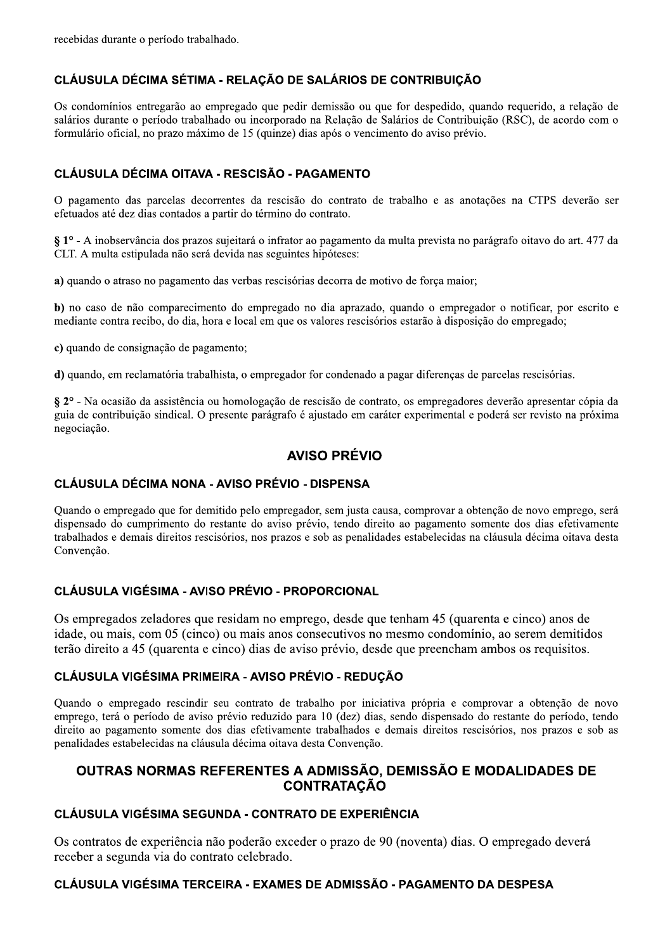recebidas durante o período trabalhado.

## CLÁUSULA DÉCIMA SÉTIMA - RELACÃO DE SALÁRIOS DE CONTRIBUICÃO

Os condomínios entregarão ao empregado que pedir demissão ou que for despedido, quando requerido, a relação de salários durante o período trabalhado ou incorporado na Relação de Salários de Contribuição (RSC), de acordo com o formulário oficial, no prazo máximo de 15 (quinze) dias após o vencimento do aviso prévio.

## CLÁUSULA DÉCIMA OITAVA - RESCISÃO - PAGAMENTO

O pagamento das parcelas decorrentes da rescisão do contrato de trabalho e as anotações na CTPS deverão ser efetuados até dez dias contados a partir do término do contrato.

§ 1° - A inobservância dos prazos sujeitará o infrator ao pagamento da multa prevista no parágrafo oitavo do art. 477 da CLT. A multa estipulada não será devida nas seguintes hipóteses:

a) quando o atraso no pagamento das verbas rescisórias decorra de motivo de força maior;

b) no caso de não comparecimento do empregado no dia aprazado, quando o empregador o notificar, por escrito e mediante contra recibo, do dia, hora e local em que os valores rescisórios estarão à disposição do empregado;

c) quando de consignação de pagamento;

d) quando, em reclamatória trabalhista, o empregador for condenado a pagar diferenças de parcelas rescisórias.

§ 2° - Na ocasião da assistência ou homologação de rescisão de contrato, os empregadores deverão apresentar cópia da guia de contribuição sindical. O presente parágrafo é ajustado em caráter experimental e poderá ser revisto na próxima negociação.

## **AVISO PRÉVIO**

## **CLÁUSULA DÉCIMA NONA - AVISO PRÉVIO - DISPENSA**

Quando o empregado que for demitido pelo empregador, sem justa causa, comprovar a obtenção de novo emprego, será dispensado do cumprimento do restante do aviso prévio, tendo direito ao pagamento somente dos dias efetivamente trabalhados e demais direitos rescisórios, nos prazos e sob as penalidades estabelecidas na cláusula décima oitava desta Convenção.

## CLÁUSULA VIGÉSIMA - AVISO PRÉVIO - PROPORCIONAL

Os empregados zeladores que residam no emprego, desde que tenham 45 (quarenta e cinco) anos de idade, ou mais, com 05 (cinco) ou mais anos consecutivos no mesmo condomínio, ao serem demitidos terão direito a 45 (quarenta e cinco) dias de aviso prévio, desde que preencham ambos os requisitos.

## CLÁUSULA VIGÉSIMA PRIMEIRA - AVISO PRÉVIO - REDUÇÃO

Quando o empregado rescindir seu contrato de trabalho por iniciativa própria e comprovar a obtenção de novo emprego, terá o período de aviso prévio reduzido para 10 (dez) dias, sendo dispensado do restante do período, tendo direito ao pagamento somente dos dias efetivamente trabalhados e demais direitos rescisórios, nos prazos e sob as penalidades estabelecidas na cláusula décima oitava desta Convenção.

## OUTRAS NORMAS REFERENTES A ADMISSÃO, DEMISSÃO E MODALIDADES DE **CONTRATACÃO**

## **CLÁUSULA VIGÉSIMA SEGUNDA - CONTRATO DE EXPERIÊNCIA**

Os contratos de experiência não poderão exceder o prazo de 90 (noventa) dias. O empregado deverá receber a segunda via do contrato celebrado.

## CLÁUSULA VIGÉSIMA TERCEIRA - EXAMES DE ADMISSÃO - PAGAMENTO DA DESPESA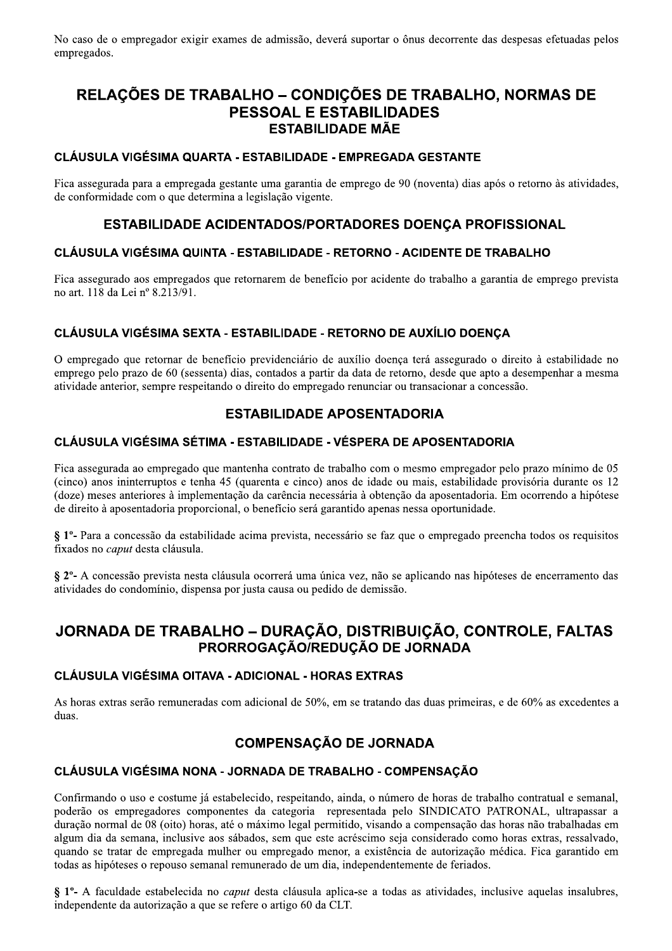No caso de o empregador exigir exames de admissão, deverá suportar o ônus decorrente das despesas efetuadas pelos empregados.

# RELAÇÕES DE TRABALHO - CONDIÇÕES DE TRABALHO, NORMAS DE **PESSOAL E ESTABILIDADES ESTABILIDADE MÃE**

### **CLÁUSULA VIGÉSIMA QUARTA - ESTABILIDADE - EMPREGADA GESTANTE**

Fica assegurada para a empregada gestante uma garantia de emprego de 90 (noventa) dias após o retorno às atividades, de conformidade com o que determina a legislação vigente.

## ESTABILIDADE ACIDENTADOS/PORTADORES DOENÇA PROFISSIONAL

### CLÁUSULA VIGÉSIMA QUINTA - ESTABILIDADE - RETORNO - ACIDENTE DE TRABALHO

Fica assegurado aos empregados que retornarem de benefício por acidente do trabalho a garantia de emprego prevista no art. 118 da Lei nº 8.213/91.

## CLÁUSULA VIGÉSIMA SEXTA - ESTABILIDADE - RETORNO DE AUXÍLIO DOENCA

O empregado que retornar de benefício previdenciário de auxílio doença terá assegurado o direito à estabilidade no emprego pelo prazo de 60 (sessenta) dias, contados a partir da data de retorno, desde que apto a desempenhar a mesma atividade anterior, sempre respeitando o direito do empregado renunciar ou transacionar a concessão.

## **ESTABILIDADE APOSENTADORIA**

### CLÁUSULA VIGÉSIMA SÉTIMA - ESTABILIDADE - VÉSPERA DE APOSENTADORIA

Fica assegurada ao empregado que mantenha contrato de trabalho com o mesmo empregador pelo prazo mínimo de 05 (cinco) anos ininterruptos e tenha 45 (quarenta e cinco) anos de idade ou mais, estabilidade provisória durante os 12 (doze) meses anteriores à implementação da carência necessária à obtenção da aposentadoria. Em ocorrendo a hipótese de direito à aposentadoria proporcional, o benefício será garantido apenas nessa oportunidade.

§ 1<sup>o</sup>- Para a concessão da estabilidade acima prevista, necessário se faz que o empregado preencha todos os requisitos fixados no *caput* desta cláusula.

§ 2<sup>o</sup>- A concessão prevista nesta cláusula ocorrerá uma única vez, não se aplicando nas hipóteses de encerramento das atividades do condomínio, dispensa por justa causa ou pedido de demissão.

## JORNADA DE TRABALHO - DURAÇÃO, DISTRIBUIÇÃO, CONTROLE, FALTAS PRORROGAÇÃO/REDUÇÃO DE JORNADA

#### **CLÁUSULA VIGÉSIMA OITAVA - ADICIONAL - HORAS EXTRAS**

As horas extras serão remuneradas com adicional de 50%, em se tratando das duas primeiras, e de 60% as excedentes a duas.

## **COMPENSAÇÃO DE JORNADA**

#### CLÁUSULA VIGÉSIMA NONA - JORNADA DE TRABALHO - COMPENSAÇÃO

Confirmando o uso e costume já estabelecido, respeitando, ainda, o número de horas de trabalho contratual e semanal, poderão os empregadores componentes da categoria representada pelo SINDICATO PATRONAL, ultrapassar a duração normal de 08 (oito) horas, até o máximo legal permitido, visando a compensação das horas não trabalhadas em algum dia da semana, inclusive aos sábados, sem que este acréscimo seja considerado como horas extras, ressalvado, quando se tratar de empregada mulher ou empregado menor, a existência de autorização médica. Fica garantido em todas as hipóteses o repouso semanal remunerado de um dia, independentemente de feriados.

§ 1<sup>o</sup>- A faculdade estabelecida no *caput* desta cláusula aplica-se a todas as atividades, inclusive aquelas insalubres, independente da autorização a que se refere o artigo 60 da CLT.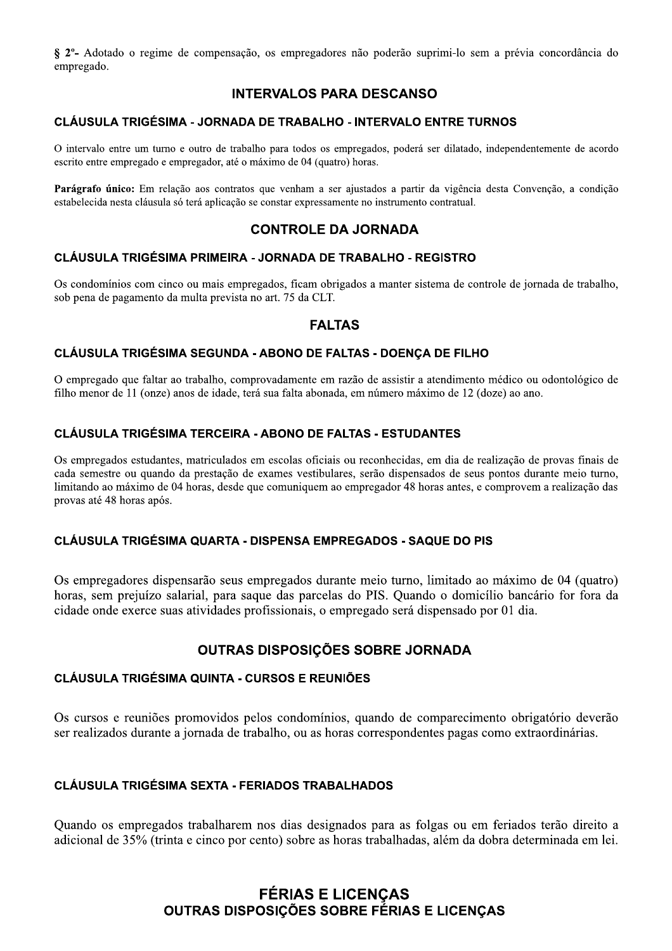§ 2<sup>o</sup>- Adotado o regime de compensação, os empregadores não poderão suprimi-lo sem a prévia concordância do empregado.

## **INTERVALOS PARA DESCANSO**

### **CLÁUSULA TRIGÉSIMA - JORNADA DE TRABALHO - INTERVALO ENTRE TURNOS**

O intervalo entre um turno e outro de trabalho para todos os empregados, poderá ser dilatado, independentemente de acordo escrito entre empregado e empregador, até o máximo de 04 (quatro) horas.

Parágrafo único: Em relação aos contratos que venham a ser ajustados a partir da vigência desta Convenção, a condição estabelecida nesta cláusula só terá aplicação se constar expressamente no instrumento contratual.

## **CONTROLE DA JORNADA**

#### CLÁUSULA TRIGÉSIMA PRIMEIRA - JORNADA DE TRABALHO - REGISTRO

Os condomínios com cinco ou mais empregados, ficam obrigados a manter sistema de controle de jornada de trabalho, sob pena de pagamento da multa prevista no art. 75 da CLT.

## **FALTAS**

### CLÁUSULA TRIGÉSIMA SEGUNDA - ABONO DE FALTAS - DOENÇA DE FILHO

O empregado que faltar ao trabalho, comprovadamente em razão de assistir a atendimento médico ou odontológico de filho menor de 11 (onze) anos de idade, terá sua falta abonada, em número máximo de 12 (doze) ao ano.

#### **CLÁUSULA TRIGÉSIMA TERCEIRA - ABONO DE FALTAS - ESTUDANTES**

Os empregados estudantes, matriculados em escolas oficiais ou reconhecidas, em dia de realização de provas finais de cada semestre ou quando da prestação de exames vestibulares, serão dispensados de seus pontos durante meio turno, limitando ao máximo de 04 horas, desde que comuniquem ao empregador 48 horas antes, e comprovem a realização das provas até 48 horas após.

### CLÁUSULA TRIGÉSIMA QUARTA - DISPENSA EMPREGADOS - SAQUE DO PIS

Os empregadores dispensarão seus empregados durante meio turno, limitado ao máximo de 04 (quatro) horas, sem prejuízo salarial, para saque das parcelas do PIS. Quando o domicílio bancário for fora da cidade onde exerce suas atividades profissionais, o empregado será dispensado por 01 dia.

## OUTRAS DISPOSICÕES SOBRE JORNADA

#### **CLÁUSULA TRIGÉSIMA QUINTA - CURSOS E REUNIÕES**

Os cursos e reuniões promovidos pelos condomínios, quando de comparecimento obrigatório deverão ser realizados durante a jornada de trabalho, ou as horas correspondentes pagas como extraordinárias.

## **CLÁUSULA TRIGÉSIMA SEXTA - FERIADOS TRABALHADOS**

Quando os empregados trabalharem nos dias designados para as folgas ou em feriados terão direito a adicional de 35% (trinta e cinco por cento) sobre as horas trabalhadas, além da dobra determinada em lei.

# **FÉRIAS E LICENÇAS OUTRAS DISPOSICÕES SOBRE FÉRIAS E LICENCAS**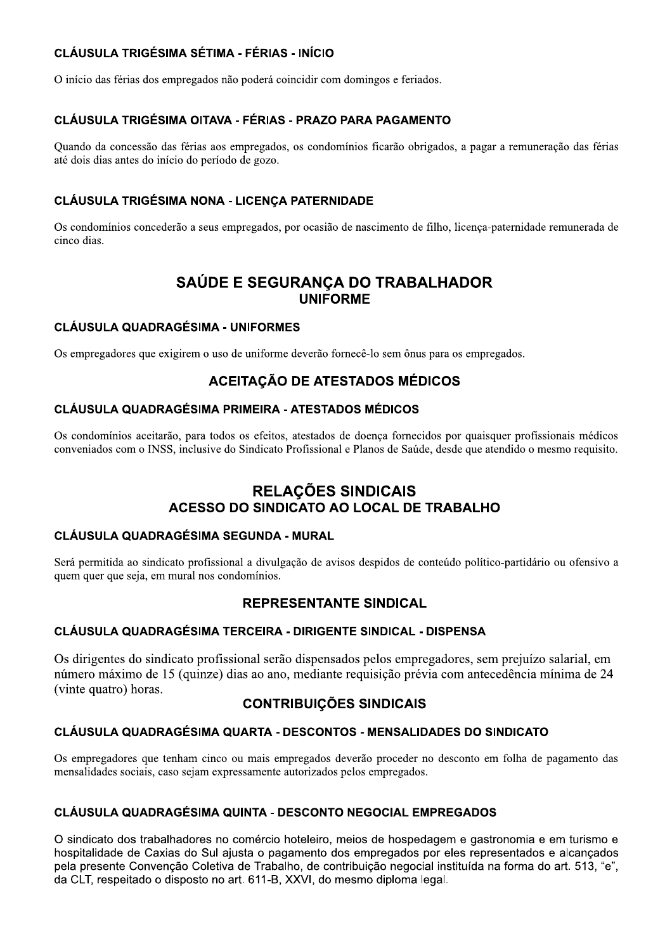## **CLÁUSULA TRIGÉSIMA SÉTIMA - FÉRIAS - INÍCIO**

O início das férias dos empregados não poderá coincidir com domingos e feriados.

## CLÁUSULA TRIGÉSIMA OITAVA - FÉRIAS - PRAZO PARA PAGAMENTO

Ouando da concessão das férias aos empregados, os condomínios ficarão obrigados, a pagar a remuneração das férias até dois dias antes do início do período de gozo.

## CLÁUSULA TRIGÉSIMA NONA - LICENÇA PATERNIDADE

Os condomínios concederão a seus empregados, por ocasião de nascimento de filho, licença-paternidade remunerada de cinco dias.

## SAÚDE E SEGURANÇA DO TRABALHADOR **UNIFORME**

### **CLÁUSULA QUADRAGÉSIMA - UNIFORMES**

Os empregadores que exigirem o uso de uniforme deverão fornecê-lo sem ônus para os empregados.

## **ACEITAÇÃO DE ATESTADOS MÉDICOS**

### **CLÁUSULA QUADRAGÉSIMA PRIMEIRA - ATESTADOS MÉDICOS**

Os condomínios aceitarão, para todos os efeitos, atestados de doença fornecidos por quaisquer profissionais médicos conveniados com o INSS, inclusive do Sindicato Profissional e Planos de Saúde, desde que atendido o mesmo requisito.

## **RELACÕES SINDICAIS** ACESSO DO SINDICATO AO LOCAL DE TRABALHO

## **CLÁUSULA QUADRAGÉSIMA SEGUNDA - MURAL**

Será permitida ao sindicato profissional a divulgação de avisos despidos de conteúdo político-partidário ou ofensivo a quem quer que seja, em mural nos condomínios.

## **REPRESENTANTE SINDICAL**

## CLÁUSULA QUADRAGÉSIMA TERCEIRA - DIRIGENTE SINDICAL - DISPENSA

Os dirigentes do sindicato profissional serão dispensados pelos empregadores, sem prejuízo salarial, em número máximo de 15 (quinze) dias ao ano, mediante requisição prévia com antecedência mínima de 24 (vinte quatro) horas.

## **CONTRIBUIÇÕES SINDICAIS**

## CLÁUSULA QUADRAGÉSIMA QUARTA - DESCONTOS - MENSALIDADES DO SINDICATO

Os empregadores que tenham cinco ou mais empregados deverão proceder no desconto em folha de pagamento das mensalidades sociais, caso sejam expressamente autorizados pelos empregados.

## **CLÁUSULA QUADRAGÉSIMA QUINTA - DESCONTO NEGOCIAL EMPREGADOS**

O sindicato dos trabalhadores no comércio hoteleiro, meios de hospedagem e gastronomia e em turismo e hospitalidade de Caxias do Sul aiusta o pagamento dos empregados por eles representados e alcancados pela presente Convenção Coletiva de Trabalho, de contribuição negocial instituída na forma do art. 513, "e", da CLT, respeitado o disposto no art. 611-B, XXVI, do mesmo diploma legal.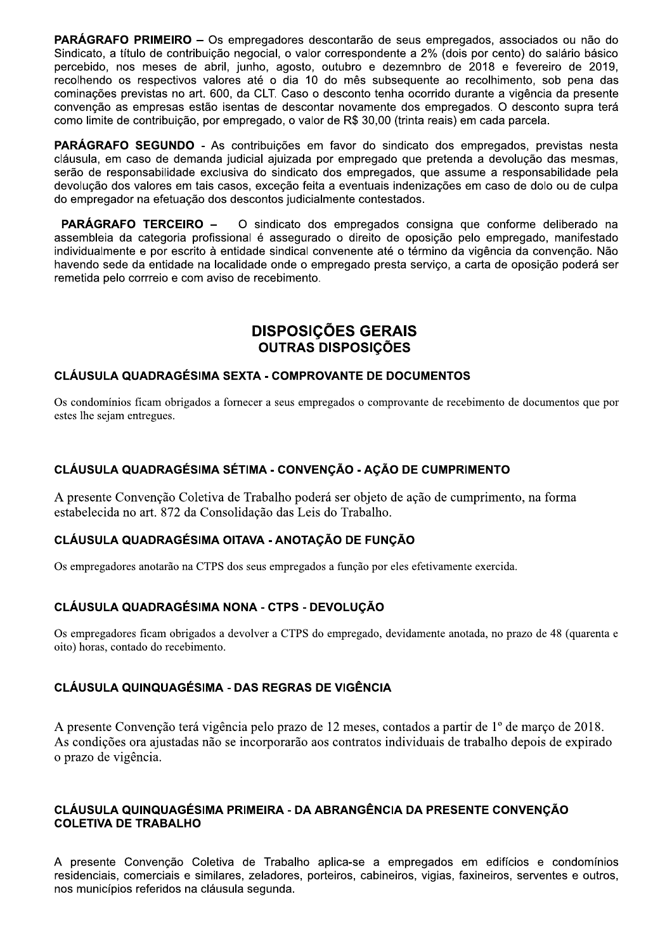PARÁGRAFO PRIMEIRO – Os empregadores descontarão de seus empregados, associados ou não do Sindicato, a título de contribuição negocial, o valor correspondente a 2% (dois por cento) do salário básico percebido, nos meses de abril, junho, agosto, outubro e dezemnbro de 2018 e fevereiro de 2019, recolhendo os respectivos valores até o dia 10 do mês subsequente ao recolhimento, sob pena das cominações previstas no art. 600, da CLT. Caso o desconto tenha ocorrido durante a vigência da presente convenção as empresas estão isentas de descontar novamente dos empregados. O desconto supra terá como limite de contribuição, por empregado, o valor de R\$ 30.00 (trinta reais) em cada parcela.

**PARÁGRAFO SEGUNDO -** As contribuições em favor do sindicato dos empregados, previstas nesta cláusula, em caso de demanda judicial ajuizada por empregado que pretenda a devolução das mesmas, serão de responsabilidade exclusiva do sindicato dos empregados, que assume a responsabilidade pela devolução dos valores em tais casos, exceção feita a eventuais indenizações em caso de dolo ou de culpa do empregador na efetuação dos descontos judicialmente contestados.

**PARÁGRAFO TERCEIRO -**O sindicato dos empregados consigna que conforme deliberado na assembleia da categoria profissional é assegurado o direito de oposição pelo empregado, manifestado individualmente e por escrito à entidade sindical convenente até o término da vigência da convenção. Não havendo sede da entidade na localidade onde o empregado presta serviço, a carta de oposição poderá ser remetida pelo corrreio e com aviso de recebimento.

## **DISPOSICÕES GERAIS OUTRAS DISPOSIÇÕES**

## CLÁUSULA QUADRAGÉSIMA SEXTA - COMPROVANTE DE DOCUMENTOS

Os condomínios ficam obrigados a fornecer a seus empregados o comprovante de recebimento de documentos que por estes lhe sejam entregues.

## CLÁUSULA QUADRAGÉSIMA SÉTIMA - CONVENCÃO - ACÃO DE CUMPRIMENTO

A presente Convenção Coletiva de Trabalho poderá ser objeto de ação de cumprimento, na forma estabelecida no art. 872 da Consolidação das Leis do Trabalho.

## CLÁUSULA QUADRAGÉSIMA OITAVA - ANOTAÇÃO DE FUNÇÃO

Os empregadores anotarão na CTPS dos seus empregados a função por eles efetivamente exercida.

## CLÁUSULA QUADRAGÉSIMA NONA - CTPS - DEVOLUÇÃO

Os empregadores ficam obrigados a devolver a CTPS do empregado, devidamente anotada, no prazo de 48 (quarenta e oito) horas, contado do recebimento.

### **CLÁUSULA QUINQUAGÉSIMA - DAS REGRAS DE VIGÊNCIA**

A presente Convenção terá vigência pelo prazo de 12 meses, contados a partir de 1º de março de 2018. As condições ora ajustadas não se incorporarão aos contratos individuais de trabalho depois de expirado o prazo de vigência.

### CLÁUSULA QUINQUAGÉSIMA PRIMEIRA - DA ABRANGÊNCIA DA PRESENTE CONVENCÃO **COLETIVA DE TRABALHO**

A presente Convenção Coletiva de Trabalho aplica-se a empregados em edifícios e condomínios residenciais, comerciais e similares, zeladores, porteiros, cabineiros, vigias, faxineiros, serventes e outros, nos municípios referidos na cláusula segunda.